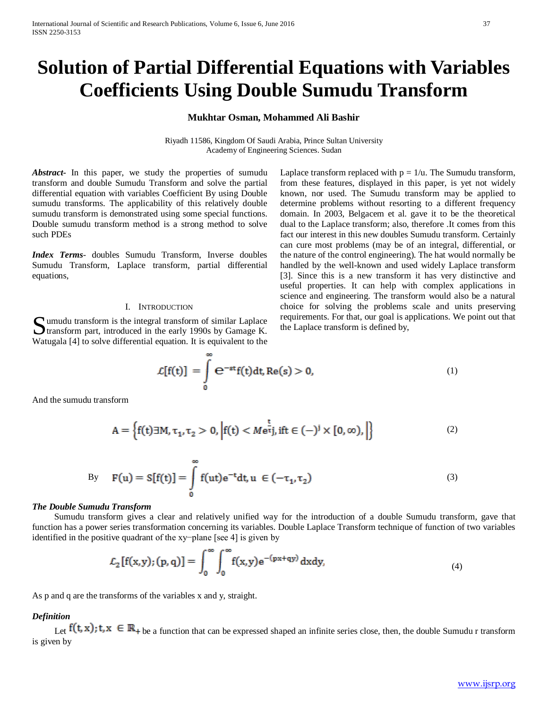# **Solution of Partial Differential Equations with Variables Coefficients Using Double Sumudu Transform**

# **Mukhtar Osman, Mohammed Ali Bashir**

Riyadh 11586, Kingdom Of Saudi Arabia, Prince Sultan University Academy of Engineering Sciences. Sudan

Abstract- In this paper, we study the properties of sumudu transform and double Sumudu Transform and solve the partial differential equation with variables Coefficient By using Double sumudu transforms. The applicability of this relatively double sumudu transform is demonstrated using some special functions. Double sumudu transform method is a strong method to solve such PDEs

*Index Terms*- doubles Sumudu Transform, Inverse doubles Sumudu Transform, Laplace transform, partial differential equations,

## I. INTRODUCTION

umudu transform is the integral transform of similar Laplace Sumudu transform is the integral transform of similar Laplace<br>transform part, introduced in the early 1990s by Gamage K. Watugala [4] to solve differential equation. It is equivalent to the

Laplace transform replaced with  $p = 1/u$ . The Sumudu transform, from these features, displayed in this paper, is yet not widely known, nor used. The Sumudu transform may be applied to determine problems without resorting to a different frequency domain. In 2003, Belgacem et al. gave it to be the theoretical dual to the Laplace transform; also, therefore .It comes from this fact our interest in this new doubles Sumudu transform. Certainly can cure most problems (may be of an integral, differential, or the nature of the control engineering). The hat would normally be handled by the well-known and used widely Laplace transform [3]. Since this is a new transform it has very distinctive and useful properties. It can help with complex applications in science and engineering. The transform would also be a natural choice for solving the problems scale and units preserving requirements. For that, our goal is applications. We point out that the Laplace transform is defined by,

$$
\mathcal{L}[f(t)] = \int_{0}^{\infty} e^{-st} f(t) dt, Re(s) > 0,
$$
\n(1)

And the sumudu transform

$$
A = \left\{ f(t) \exists M, \tau_1, \tau_2 > 0, \left| f(t) < M e^{\frac{t}{\tau}} j, \text{ iff } t \in (-)^j \times [0, \infty), \right| \right\}
$$
(2)

By 
$$
F(u) = S[f(t)] = \int_{0}^{\infty} f(ut)e^{-t}dt, u \in (-\tau_{1}, \tau_{2})
$$
 (3)

## *The Double Sumudu Transform*

 Sumudu transform gives a clear and relatively unified way for the introduction of a double Sumudu transform, gave that function has a power series transformation concerning its variables. Double Laplace Transform technique of function of two variables identified in the positive quadrant of the xy−plane [see 4] is given by

$$
\mathcal{L}_2\left[f(x,y);(p,q)\right] = \int_0^\infty \int_0^\infty f(x,y) e^{-(px+qy)} dx dy,\tag{4}
$$

As p and q are the transforms of the variables x and y, straight.

## *Definition*

Let  $f(t, x)$ ;  $t, x \in \mathbb{R}_+$  be a function that can be expressed shaped an infinite series close, then, the double Sumudu r transform is given by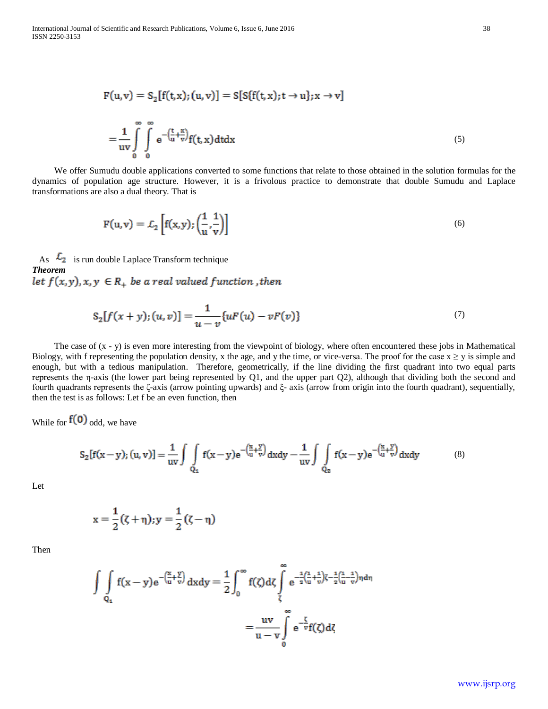$$
F(u,v) = S_2[f(t,x);(u,v)] = S[S{f(t,x);t \to u};x \to v]
$$

$$
= \frac{1}{uv} \int_{0}^{\infty} \int_{0}^{\infty} e^{-\left(\frac{t}{u} + \frac{x}{v}\right)} f(t,x) dt dx
$$
(5)

 We offer Sumudu double applications converted to some functions that relate to those obtained in the solution formulas for the dynamics of population age structure. However, it is a frivolous practice to demonstrate that double Sumudu and Laplace transformations are also a dual theory. That is

$$
F(u,v) = \mathcal{L}_2 \left[ f(x,y); \left( \frac{1}{u}, \frac{1}{v} \right) \right]
$$
 (6)

As  $\mathcal{L}_2$  is run double Laplace Transform technique *Theorem*<br>let  $f(x, y)$ ,  $x, y \in R_+$  be a real valued function, then

$$
S_2[f(x+y);(u,v)] = \frac{1}{u-v}\{uF(u) - vF(v)\}\tag{7}
$$

The case of  $(x - y)$  is even more interesting from the viewpoint of biology, where often encountered these jobs in Mathematical Biology, with f representing the population density, x the age, and y the time, or vice-versa. The proof for the case  $x \ge y$  is simple and enough, but with a tedious manipulation. Therefore, geometrically, if the line dividing the first quadrant into two equal parts represents the η-axis (the lower part being represented by Q1, and the upper part Q2), although that dividing both the second and fourth quadrants represents the ζ-axis (arrow pointing upwards) and ξ- axis (arrow from origin into the fourth quadrant), sequentially, then the test is as follows: Let f be an even function, then

While for  $f(0)$  odd, we have

$$
S_2[f(x-y);(u,v)] = \frac{1}{uv} \int \int_{Q_2} f(x-y) e^{-\left(\frac{x}{u} + \frac{y}{v}\right)} dx dy - \frac{1}{uv} \int \int_{Q_2} f(x-y) e^{-\left(\frac{x}{u} + \frac{y}{v}\right)} dx dy
$$
(8)

Let

$$
x = \frac{1}{2}(\zeta + \eta); y = \frac{1}{2}(\zeta - \eta)
$$

Then

$$
\int\int\limits_{Q_4} f(x-y)e^{-\left(\frac{x}{u}+\frac{y}{v}\right)}dxdy = \frac{1}{2}\int_0^\infty f(\zeta)d\zeta \int\limits_{\zeta}^\infty e^{-\frac{z}{2}\left(\frac{1}{u}+\frac{z}{v}\right)\zeta-\frac{1}{2}\left(\frac{z}{u}-\frac{z}{v}\right)\eta d\eta} \\ = \frac{uv}{u-v}\int\limits_0^\infty e^{-\frac{\zeta}{v}}f(\zeta)d\zeta
$$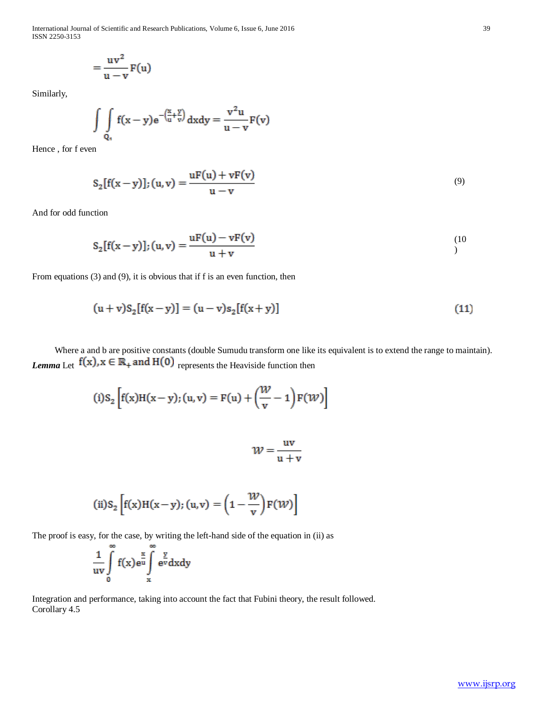International Journal of Scientific and Research Publications, Volume 6, Issue 6, June 2016 39 ISSN 2250-3153

$$
=\frac{uv^2}{u-v}F(u)
$$

Similarly,

$$
\int\int\limits_{Q_1} f(x-y)e^{-\left(\frac{x}{u}+\frac{y}{v}\right)}dxdy = \frac{v^2u}{u-v}F(v)
$$

Hence , for f even

$$
S_2[f(x-y)]; (u, v) = \frac{uF(u) + vF(v)}{u - v}
$$
\n(9)

And for odd function

$$
S_2[f(x-y)];(u,v) = \frac{uF(u) - vF(v)}{u+v}
$$
\n(10)

From equations (3) and (9), it is obvious that if f is an even function, then

$$
(u + v)S_2[f(x - y)] = (u - v)s_2[f(x + y)]
$$
\n(11)

 Where a and b are positive constants (double Sumudu transform one like its equivalent is to extend the range to maintain). *Lemma* Let  $f(x), x \in \mathbb{R}$  and  $H(0)$  represents the Heaviside function then

$$
(i)S_2\left[f(x)H(x-y);(u,v)=F(u)+\left(\frac{\mathcal{W}}{v}-1\right)F(\mathcal{W})\right]
$$

$$
w = \frac{uv}{u+v}
$$

(ii) 
$$
S_2
$$
  $\left[ f(x)H(x-y); (u,v) = \left(1 - \frac{W}{v}\right)F(W) \right]$ 

The proof is easy, for the case, by writing the left-hand side of the equation in (ii) as

$$
\frac{1}{uv}\int\limits_{0}^{\infty}f(x)e^{\frac{x}{u}}\int\limits_{x}^{\infty}e^{v}dxdy
$$

Integration and performance, taking into account the fact that Fubini theory, the result followed. Corollary 4.5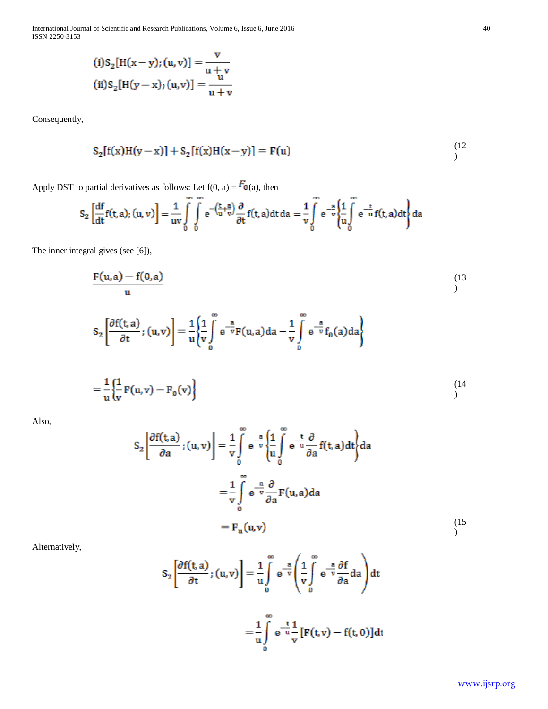International Journal of Scientific and Research Publications, Volume 6, Issue 6, June 2016 40 ISSN 2250-3153

(i) 
$$
S_2[H(x - y); (u, v)] = \frac{v}{u + v}
$$
  
(ii)  $S_2[H(y - x); (u, v)] = \frac{u}{u + v}$ 

Consequently,

$$
S_2[f(x)H(y-x)] + S_2[f(x)H(x-y)] = F(u)
$$
\n(12)

 $\mathbf{r}$ 

Apply DST to partial derivatives as follows: Let  $f(0, a) = \mathbf{F}_0(a)$ , then

$$
S_2\left[\frac{df}{dt}f(t,a);(u,v)\right] = \frac{1}{uv}\int\limits_{0}^{\infty}\int\limits_{0}^{\infty}e^{-\left(\frac{t}{u}+\frac{a}{v}\right)}\frac{\partial}{\partial t}f(t,a)dtda = \frac{1}{v}\int\limits_{0}^{\infty}e^{-\frac{a}{v}}\left\{\frac{1}{u}\int\limits_{0}^{\infty}e^{-\frac{t}{u}}f(t,a)dt\right\}da
$$

The inner integral gives (see [6]),

$$
\frac{F(u,a) - f(0,a)}{u}
$$
\n
$$
S_2 \left[ \frac{\partial f(t,a)}{\partial t}; (u,v) \right] = \frac{1}{u} \left\{ \frac{1}{v} \int_0^\infty e^{-\frac{a}{v}} F(u,a) da - \frac{1}{v} \int_0^\infty e^{-\frac{a}{v}} f_0(a) da \right\}
$$
\n(13)

$$
=\frac{1}{u}\left\{\frac{1}{v}F(u,v)-F_0(v)\right\}
$$
\n(14)

Also,

$$
S_2 \left[ \frac{\partial f(t, a)}{\partial a} ; (u, v) \right] = \frac{1}{v} \int_0^{\infty} e^{-\frac{a}{v}} \left\{ \frac{1}{u} \int_0^{\infty} e^{-\frac{t}{u}} \frac{\partial}{\partial a} f(t, a) dt \right\} da
$$
  

$$
= \frac{1}{v} \int_0^{\infty} e^{-\frac{a}{v}} \frac{\partial}{\partial a} F(u, a) da
$$
  

$$
= F_u(u, v) \qquad (15)
$$

Alternatively,

$$
S_2 \left[ \frac{\partial f(t, a)}{\partial t}; (u, v) \right] = \frac{1}{u} \int_0^{\infty} e^{-\frac{a}{v}} \left( \frac{1}{v} \int_0^{\infty} e^{-\frac{a}{v}} \frac{\partial f}{\partial a} da \right) dt
$$

$$
= \frac{1}{u} \int_0^{\infty} e^{-\frac{t}{u}} \frac{1}{v} [F(t, v) - f(t, 0)] dt
$$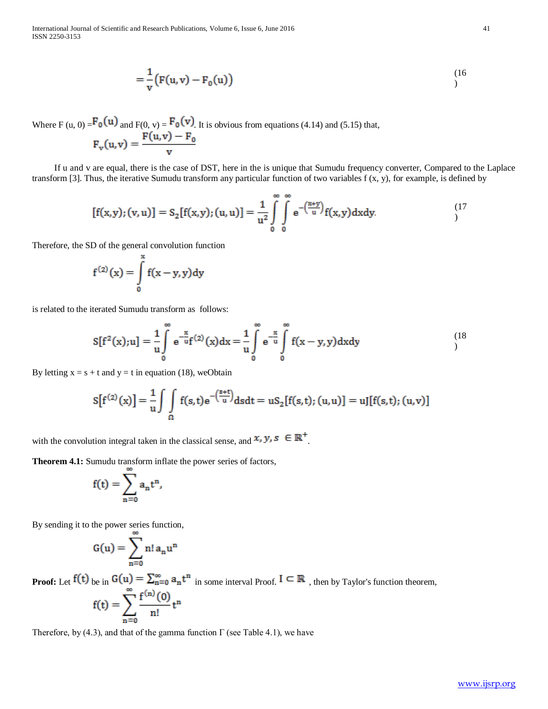International Journal of Scientific and Research Publications, Volume 6, Issue 6, June 2016 41 ISSN 2250-3153

$$
=\frac{1}{\mathbf{v}}\big(\mathbf{F}(\mathbf{u},\mathbf{v})-\mathbf{F}_0(\mathbf{u})\big) \tag{16}
$$

Where F (u, 0) =  $\mathbf{F}_0(\mathbf{u})$  and F(0, v) =  $\mathbf{F}_0(\mathbf{v})$ . It is obvious from equations (4.14) and (5.15) that,<br> $\mathbf{F}_0(\mathbf{u}, \mathbf{v}) = \mathbf{F}_0(\mathbf{u}, \mathbf{v}) - \mathbf{F}_0$ 

$$
F_v(u,v) = \frac{f(u,v)}{v}
$$

 If u and v are equal, there is the case of DST, here in the is unique that Sumudu frequency converter, Compared to the Laplace transform [3]. Thus, the iterative Sumudu transform any particular function of two variables  $f(x, y)$ , for example, is defined by

$$
[f(x,y);(v,u)] = S_2[f(x,y);(u,u)] = \frac{1}{u^2} \int_{0}^{\infty} \int_{0}^{\infty} e^{-\left(\frac{x+y}{u}\right)} f(x,y) dx dy.
$$
 (17)

Therefore, the SD of the general convolution function

$$
f^{(2)}(x) = \int\limits_0^x f(x-y,y) dy
$$

is related to the iterated Sumudu transform as follows:

$$
S[f^{2}(x);u] = \frac{1}{u} \int_{0}^{\infty} e^{-\frac{x}{u}} f^{(2)}(x) dx = \frac{1}{u} \int_{0}^{\infty} e^{-\frac{x}{u}} \int_{0}^{\infty} f(x-y,y) dx dy
$$
 (18)

By letting  $x = s + t$  and  $y = t$  in equation (18), weObtain

$$
S[f^{(2)}(x)] = \frac{1}{u} \int \int_{\Omega} f(s,t) e^{-\left(\frac{s+t}{u}\right)} ds dt = u S_2[f(s,t); (u,u)] = uJ[f(s,t); (u,v)]
$$

with the convolution integral taken in the classical sense, and  $x, y, s \in \mathbb{R}^+$ 

**Theorem 4.1:** Sumudu transform inflate the power series of factors,

$$
f(t)=\sum_{n=0}a_nt^n,\qquad
$$

By sending it to the power series function,

$$
G(u) = \sum_{n=0} n! \, a_n u^n
$$

**Proof:** Let  $f(t)$  be in  $G(u) = \sum_{n=0}^{\infty} a_n t^n$  in some interval Proof.  $I \subseteq \mathbb{R}$ , then by Taylor's function theorem,

$$
f(t) = \sum_{n=0}^{\infty} \frac{f^{(n)}(0)}{n!} t^{n}
$$

Therefore, by (4.3), and that of the gamma function  $\Gamma$  (see Table 4.1), we have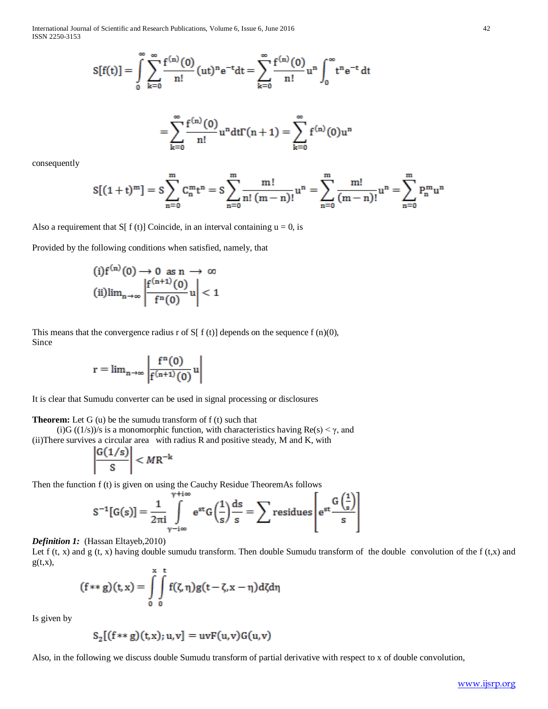International Journal of Scientific and Research Publications, Volume 6, Issue 6, June 2016 42 ISSN 2250-3153

$$
S[f(t)] = \int_{0}^{\infty} \sum_{k=0}^{\infty} \frac{f^{(n)}(0)}{n!} (ut)^{n} e^{-t} dt = \sum_{k=0}^{\infty} \frac{f^{(n)}(0)}{n!} u^{n} \int_{0}^{\infty} t^{n} e^{-t} dt
$$

$$
= \sum_{k=0}^{\infty} \frac{f^{(n)}(0)}{n!} u^{n} dt \Gamma(n+1) = \sum_{k=0}^{\infty} f^{(n)}(0) u^{n}
$$

consequently

$$
S[(1+t)^m] = S \sum_{n=0}^m C_n^m t^n = S \sum_{n=0}^m \frac{m!}{n! (m-n)!} u^n = \sum_{n=0}^m \frac{m!}{(m-n)!} u^n = \sum_{n=0}^m P_n^m u^n
$$

Also a requirement that S[ f (t)] Coincide, in an interval containing  $u = 0$ , is

Provided by the following conditions when satisfied, namely, that

$$
(i) f^{(n)}(0) \to 0 \text{ as } n \to \infty
$$
  

$$
(ii) \lim_{n \to \infty} \left| \frac{f^{(n+1)}(0)}{f^n(0)} u \right| < 1
$$

This means that the convergence radius r of S[  $f(t)$ ] depends on the sequence  $f(n)(0)$ , Since

$$
r = \lim_{n \to \infty} \left| \frac{f^{n}(0)}{f^{(n+1)}(0)} u \right|
$$

It is clear that Sumudu converter can be used in signal processing or disclosures

**Theorem:** Let G (u) be the sumudu transform of f (t) such that

(i)G ((1/s))/s is a monomorphic function, with characteristics having  $\text{Re}(s) < \gamma$ , and (ii)There survives a circular area with radius R and positive steady, M and K, with

$$
\left|\frac{G(1/s)}{S}\right| < M R^{-k}
$$

Then the function  $f(t)$  is given on using the Cauchy Residue TheoremAs follows

$$
S^{-1}[G(s)] = \frac{1}{2\pi i} \int_{\gamma-i\infty}^{\gamma+i\infty} e^{st} G\left(\frac{1}{s}\right) \frac{ds}{s} = \sum \text{residues} \left[ e^{st} \frac{G\left(\frac{1}{s}\right)}{s} \right]
$$

# *Definition 1:* (Hassan Eltayeb,2010)

Let  $f(t, x)$  and  $g(t, x)$  having double sumudu transform. Then double Sumudu transform of the double convolution of the  $f(t, x)$  and  $g(t,x)$ ,

$$
(f**g)(t,x) = \int\limits_{0}^{x} \int\limits_{0}^{t} f(\zeta, \eta)g(t-\zeta, x-\eta) d\zeta d\eta
$$

Is given by

$$
S_2[(f\ast\ast g)(t,x);u,v]=uvF(u,v)G(u,v)
$$

Also, in the following we discuss double Sumudu transform of partial derivative with respect to x of double convolution,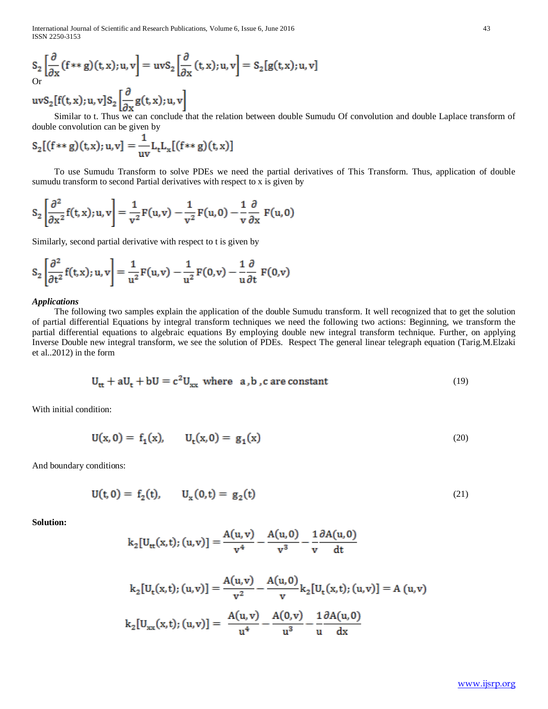International Journal of Scientific and Research Publications, Volume 6, Issue 6, June 2016 43 ISSN 2250-3153

$$
S_2\left[\frac{\partial}{\partial x}(f \ast \ast g)(t, x); u, v\right] = uvS_2\left[\frac{\partial}{\partial x}(t, x); u, v\right] = S_2[g(t, x); u, v]
$$
  
or  

$$
uvS_2[f(t, x); u, v]S_2\left[\frac{\partial}{\partial x}g(t, x); u, v\right]
$$

 Similar to t. Thus we can conclude that the relation between double Sumudu Of convolution and double Laplace transform of double convolution can be given by

$$
S_2[(f*g)(t,x);u,v] = \frac{1}{uv}L_tL_x[(f*g)(t,x)]
$$

 To use Sumudu Transform to solve PDEs we need the partial derivatives of This Transform. Thus, application of double sumudu transform to second Partial derivatives with respect to x is given by

$$
S_2\left[\frac{\partial^2}{\partial x^2}f(t,x);u,v\right]=\frac{1}{v^2}F(u,v)-\frac{1}{v^2}F(u,0)-\frac{1}{v}\frac{\partial}{\partial x}F(u,0)
$$

Similarly, second partial derivative with respect to t is given by

$$
S_2\left[\frac{\partial^2}{\partial t^2}f(t,x);u,v\right]=\frac{1}{u^2}F(u,v)-\frac{1}{u^2}F(0,v)-\frac{1}{u}\frac{\partial}{\partial t}F(0,v)
$$

## *Applications*

 The following two samples explain the application of the double Sumudu transform. It well recognized that to get the solution of partial differential Equations by integral transform techniques we need the following two actions: Beginning, we transform the partial differential equations to algebraic equations By employing double new integral transform technique. Further, on applying Inverse Double new integral transform, we see the solution of PDEs. Respect The general linear telegraph equation (Tarig.M.Elzaki et al..2012) in the form

$$
U_{tt} + aU_t + bU = c^2 U_{xx} \text{ where } a, b, c \text{ are constant} \tag{19}
$$

With initial condition:

$$
U(x, 0) = f_1(x), \qquad U_t(x, 0) = g_1(x) \tag{20}
$$

And boundary conditions:

$$
U(t, 0) = f_2(t), \qquad U_x(0, t) = g_2(t) \tag{21}
$$

**Solution:**

$$
k_2[U_{tt}(x,t);(u,v)] = \frac{A(u,v)}{v^4} - \frac{A(u,0)}{v^3} - \frac{1}{v} \frac{\partial A(u,0)}{dt}
$$

$$
k_2[U_t(x,t);(u,v)] = \frac{A(u,v)}{v^2} - \frac{A(u,0)}{v} k_2[U_t(x,t);(u,v)] = A(u,v)
$$
  

$$
k_2[U_{xx}(x,t);(u,v)] = \frac{A(u,v)}{u^4} - \frac{A(0,v)}{u^3} - \frac{1}{u} \frac{\partial A(u,0)}{\partial x}
$$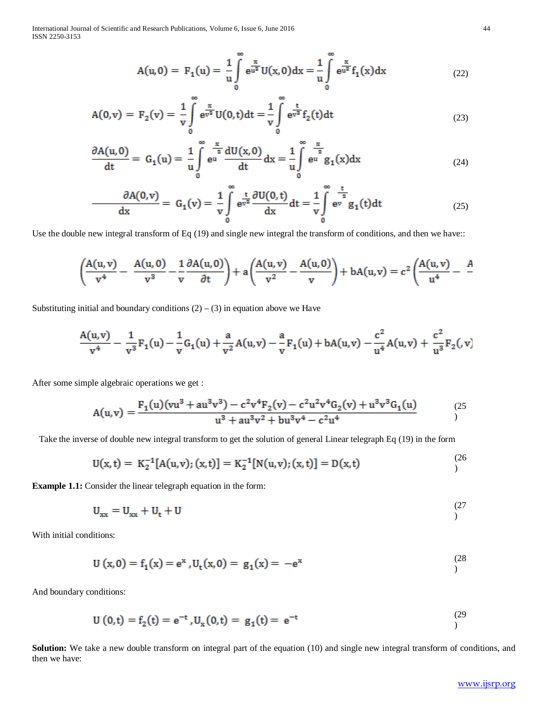International Journal of Scientific and Research Publications, Volume 6, Issue 6, June 2016 44 ISSN 2250-3153

$$
A(u,0) = F_1(u) = \frac{1}{u} \int_{0}^{\infty} e^{\frac{x}{u^2}} U(x,0) dx = \frac{1}{u} \int_{0}^{\infty} e^{\frac{x}{u^2}} f_1(x) dx \qquad (22)
$$

$$
A(0, v) = F_2(v) = \frac{1}{v} \int_{0}^{\infty} e^{\frac{x}{v^2}} U(0, t) dt = \frac{1}{v} \int_{0}^{\infty} e^{\frac{t}{v^2}} f_2(t) dt
$$
 (23)

$$
\frac{\partial A(u,0)}{dt} = G_1(u) = \frac{1}{u} \int_{0}^{\infty} e^{\frac{x}{2}} \frac{dU(x,0)}{dt} dx = \frac{1}{u} \int_{0}^{\infty} e^{\frac{x}{2}} g_1(x) dx \tag{24}
$$

$$
\frac{\partial A(0, v)}{dx} = G_1(v) = \frac{1}{v} \int_{0}^{\infty} e^{\frac{t}{v^2}} \frac{\partial U(0, t)}{dx} dt = \frac{1}{v} \int_{0}^{\infty} e^{\frac{t}{v}} g_1(t) dt
$$
(25)

Use the double new integral transform of Eq (19) and single new integral the transform of conditions, and then we have::

$$
\left(\frac{A(u,v)}{v^4} - \frac{A(u,0)}{v^3} - \frac{1}{v} \frac{\partial A(u,0)}{\partial t}\right) + a\left(\frac{A(u,v)}{v^2} - \frac{A(u,0)}{v}\right) + bA(u,v) = c^2 \left(\frac{A(u,v)}{u^4} - \frac{A(u,v)}{v^2}\right)
$$

Substituting initial and boundary conditions  $(2) - (3)$  in equation above we Have

$$
\frac{A(u,v)}{v^4} - \frac{1}{v^3}F_1(u) - \frac{1}{v}G_1(u) + \frac{a}{v^2}A(u,v) - \frac{a}{v}F_1(u) + bA(u,v) - \frac{c^2}{u^4}A(u,v) + \frac{c^2}{u^3}F_2(v)
$$

After some simple algebraic operations we get :

$$
A(u,v) = \frac{F_1(u)(vu^3 + au^3v^3) - c^2v^4F_2(v) - c^2u^2v^4G_2(v) + u^3v^3G_1(u)}{u^3 + au^3v^2 + bu^3v^4 - c^2u^4}
$$
(25)

Take the inverse of double new integral transform to get the solution of general Linear telegraph Eq (19) in the form

$$
U(x,t) = K_2^{-1}[A(u,v);(x,t)] = K_2^{-1}[N(u,v);(x,t)] = D(x,t)
$$
\n(26)

**Example 1.1:** Consider the linear telegraph equation in the form:

$$
\mathbf{U}_{\mathbf{xx}} = \mathbf{U}_{\mathbf{xx}} + \mathbf{U}_{\mathbf{t}} + \mathbf{U}
$$
 (27)

With initial conditions:

$$
U(x, 0) = f_1(x) = e^x, U_t(x, 0) = g_1(x) = -e^x
$$
 (28)

And boundary conditions:

$$
U(0,t) = f_2(t) = e^{-t}, U_x(0,t) = g_1(t) = e^{-t}
$$
\n(29)

**Solution:** We take a new double transform on integral part of the equation (10) and single new integral transform of conditions, and then we have:

 $\sim$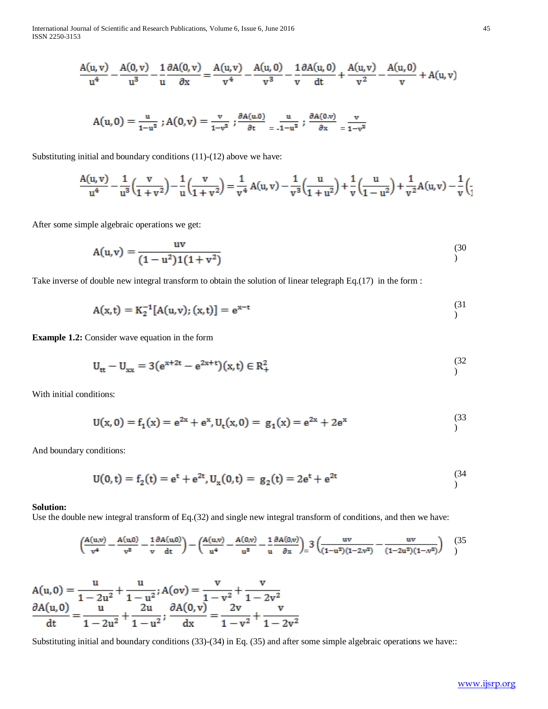International Journal of Scientific and Research Publications, Volume 6, Issue 6, June 2016 45 ISSN 2250-3153

$$
\frac{A(u,v)}{u^4} - \frac{A(0,v)}{u^3} - \frac{1}{u} \frac{\partial A(0,v)}{\partial x} = \frac{A(u,v)}{v^4} - \frac{A(u,0)}{v^3} - \frac{1}{v} \frac{\partial A(u,0)}{dt} + \frac{A(u,v)}{v^2} - \frac{A(u,0)}{v} + A(u,v)
$$

$$
A(u,0)=\frac{u}{1-u^2} \; ; A(0,v)=\frac{v}{1-v^2} \; ; \frac{\partial A(u,0)}{\partial t}\Big|_{t=1-u^2} \; ; \; \frac{\partial A(0,v)}{\partial x}\Big|_{t=1-v^2}
$$

Substituting initial and boundary conditions (11)-(12) above we have:

$$
\frac{A(u,v)}{u^4} - \frac{1}{u^3} \left(\frac{v}{1+v^2}\right) - \frac{1}{u} \left(\frac{v}{1+v^2}\right) = \frac{1}{v^4} A(u,v) - \frac{1}{v^3} \left(\frac{u}{1+u^2}\right) + \frac{1}{v} \left(\frac{u}{1-u^2}\right) + \frac{1}{v^2} A(u,v) - \frac{1}{v} \left(\frac{u}{1+v^2}\right) + \frac{1}{v^2} A(u,v) = \frac{1}{v^3} \left(\frac{u}{1+v^2}\right) + \frac{1}{v^2} \left(\frac{u}{1+v^2}\right) + \frac{1}{v^2} \left(\frac{u}{1+v^2}\right) + \frac{1}{v^3} \left(\frac{u}{1+v^2}\right) + \frac{1}{v^4} \left(\frac{u}{1+v^2}\right) + \frac{1}{v^2} \left(\frac{u}{1+v^2}\right) + \frac{1}{v^2} \left(\frac{u}{1+v^2}\right) + \frac{1}{v^4} \left(\frac{u}{1+v^2}\right) + \frac{1}{v^2} \left(\frac{u}{1+v^2}\right) + \frac{1}{v^2} \left(\frac{u}{1+v^2}\right) + \frac{1}{v^3} \left(\frac{u}{1+v^2}\right) + \frac{1}{v^4} \left(\frac{u}{1+v^2}\right) + \frac{1}{v^2} \left(\frac{u}{1+v^2}\right) + \frac{1}{v^2} \left(\frac{u}{1+v^2}\right) + \frac{1}{v^4} \left(\frac{u}{1+v^2}\right) + \frac{1}{v^2} \left(\frac{u}{1+v^2}\right) + \frac{1}{v^2} \left(\frac{u}{1+v^2}\right) + \frac{1}{v^2} \left(\frac{u}{1+v^2}\right) + \frac{1}{v^2} \left(\frac{u}{1+v^2}\right) + \frac{1}{v^2} \left(\frac{u}{1+v^2}\right) + \frac{1}{v^2} \left(\frac{u}{1+v^2}\right) + \frac{1}{v^2} \left(\frac{u}{1+v^2}\right) + \frac{1}{v^2} \left(\frac{u}{1+v^2}\right) + \frac{1}{v^2} \left(\frac{u}{1+v^2}\right) + \frac{1}{v^2} \left(\frac{
$$

After some simple algebraic operations we get:

$$
A(u,v) = \frac{uv}{(1 - u^2)1(1 + v^2)}
$$
\n(30)

Take inverse of double new integral transform to obtain the solution of linear telegraph Eq.(17) in the form :

$$
A(x,t) = K_2^{-1}[A(u,v);(x,t)] = e^{x-t}
$$
\n(31)

**Example 1.2:** Consider wave equation in the form

$$
U_{tt} - U_{xx} = 3(e^{x+2t} - e^{2x+t})(x,t) \in R_+^2
$$
\n(32)

With initial conditions:

$$
U(x, 0) = f_1(x) = e^{2x} + e^x, U_t(x, 0) = g_1(x) = e^{2x} + 2e^x
$$
\n(33)

And boundary conditions:

$$
U(0,t) = f_2(t) = e^t + e^{2t}, U_x(0,t) = g_2(t) = 2e^t + e^{2t}
$$
\n(34)

## **Solution:**

Use the double new integral transform of Eq.(32) and single new integral transform of conditions, and then we have:

$$
\left(\frac{A(u,v)}{v^4} - \frac{A(u,0)}{v^3} - \frac{1}{v}\frac{\partial A(u,0)}{dt}\right) - \left(\frac{A(u,v)}{u^4} - \frac{A(0,v)}{u^3} - \frac{1}{u}\frac{\partial A(0,v)}{\partial x}\right) = 3\left(\frac{uv}{(1-u^2)(1-2v^2)} - \frac{uv}{(1-2u^2)(1-v^2)}\right) \tag{35}
$$

$$
A(u,0) = \frac{u}{1-2u^2} + \frac{u}{1-u^2}; A(ov) = \frac{v}{1-v^2} + \frac{v}{1-2v^2}
$$
  

$$
\frac{\partial A(u,0)}{dt} = \frac{u}{1-2u^2} + \frac{2u}{1-u^2}; \frac{\partial A(0,v)}{dx} = \frac{2v}{1-v^2} + \frac{v}{1-2v^2}
$$

Substituting initial and boundary conditions (33)-(34) in Eq. (35) and after some simple algebraic operations we have::